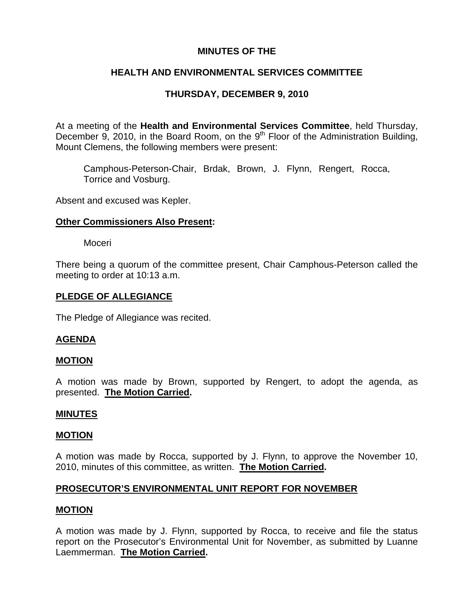# **MINUTES OF THE**

# **HEALTH AND ENVIRONMENTAL SERVICES COMMITTEE**

# **THURSDAY, DECEMBER 9, 2010**

At a meeting of the **Health and Environmental Services Committee**, held Thursday, December 9, 2010, in the Board Room, on the  $9<sup>th</sup>$  Floor of the Administration Building, Mount Clemens, the following members were present:

Camphous-Peterson-Chair, Brdak, Brown, J. Flynn, Rengert, Rocca, Torrice and Vosburg.

Absent and excused was Kepler.

# **Other Commissioners Also Present:**

Moceri

There being a quorum of the committee present, Chair Camphous-Peterson called the meeting to order at 10:13 a.m.

### **PLEDGE OF ALLEGIANCE**

The Pledge of Allegiance was recited.

### **AGENDA**

### **MOTION**

A motion was made by Brown, supported by Rengert, to adopt the agenda, as presented. **The Motion Carried.** 

#### **MINUTES**

#### **MOTION**

A motion was made by Rocca, supported by J. Flynn, to approve the November 10, 2010, minutes of this committee, as written. **The Motion Carried.** 

### **PROSECUTOR'S ENVIRONMENTAL UNIT REPORT FOR NOVEMBER**

## **MOTION**

A motion was made by J. Flynn, supported by Rocca, to receive and file the status report on the Prosecutor's Environmental Unit for November, as submitted by Luanne Laemmerman. **The Motion Carried.**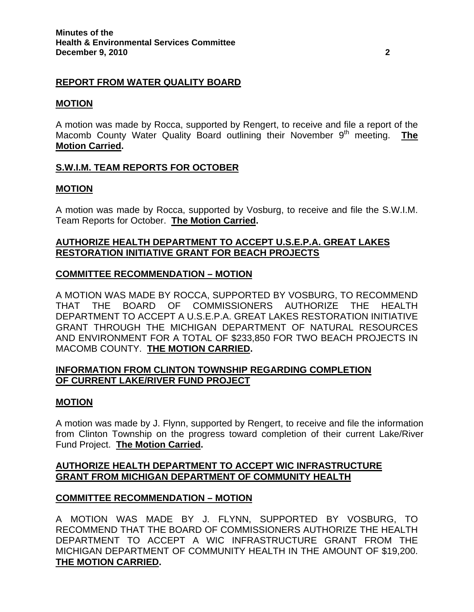# **REPORT FROM WATER QUALITY BOARD**

# **MOTION**

A motion was made by Rocca, supported by Rengert, to receive and file a report of the Macomb County Water Quality Board outlining their November 9<sup>th</sup> meeting. **The Motion Carried.** 

# **S.W.I.M. TEAM REPORTS FOR OCTOBER**

# **MOTION**

A motion was made by Rocca, supported by Vosburg, to receive and file the S.W.I.M. Team Reports for October. **The Motion Carried.** 

# **AUTHORIZE HEALTH DEPARTMENT TO ACCEPT U.S.E.P.A. GREAT LAKES RESTORATION INITIATIVE GRANT FOR BEACH PROJECTS**

# **COMMITTEE RECOMMENDATION – MOTION**

A MOTION WAS MADE BY ROCCA, SUPPORTED BY VOSBURG, TO RECOMMEND THAT THE BOARD OF COMMISSIONERS AUTHORIZE THE HEALTH DEPARTMENT TO ACCEPT A U.S.E.P.A. GREAT LAKES RESTORATION INITIATIVE GRANT THROUGH THE MICHIGAN DEPARTMENT OF NATURAL RESOURCES AND ENVIRONMENT FOR A TOTAL OF \$233,850 FOR TWO BEACH PROJECTS IN MACOMB COUNTY. **THE MOTION CARRIED.** 

# **INFORMATION FROM CLINTON TOWNSHIP REGARDING COMPLETION OF CURRENT LAKE/RIVER FUND PROJECT**

### **MOTION**

A motion was made by J. Flynn, supported by Rengert, to receive and file the information from Clinton Township on the progress toward completion of their current Lake/River Fund Project. **The Motion Carried.** 

# **AUTHORIZE HEALTH DEPARTMENT TO ACCEPT WIC INFRASTRUCTURE GRANT FROM MICHIGAN DEPARTMENT OF COMMUNITY HEALTH**

### **COMMITTEE RECOMMENDATION – MOTION**

A MOTION WAS MADE BY J. FLYNN, SUPPORTED BY VOSBURG, TO RECOMMEND THAT THE BOARD OF COMMISSIONERS AUTHORIZE THE HEALTH DEPARTMENT TO ACCEPT A WIC INFRASTRUCTURE GRANT FROM THE MICHIGAN DEPARTMENT OF COMMUNITY HEALTH IN THE AMOUNT OF \$19,200. **THE MOTION CARRIED.**